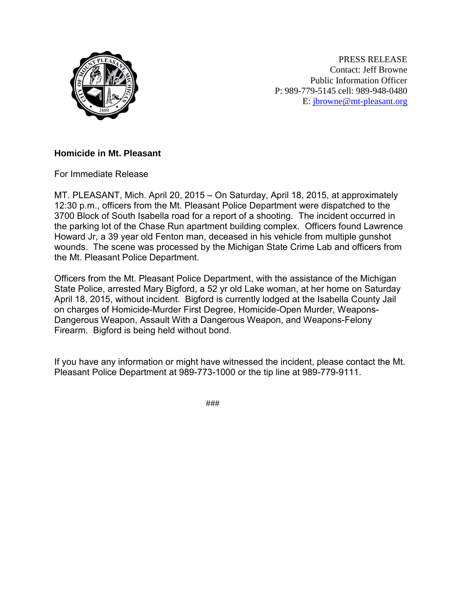

PRESS RELEASE Contact: Jeff Browne Public Information Officer P: 989-779-5145 cell: 989-948-0480 E: [jbrowne@mt-pleasant.org](mailto:jbrowne@mt-pleasant.org)

## **Homicide in Mt. Pleasant**

For Immediate Release

MT. PLEASANT, Mich. April 20, 2015 – On Saturday, April 18, 2015, at approximately 12:30 p.m., officers from the Mt. Pleasant Police Department were dispatched to the 3700 Block of South Isabella road for a report of a shooting. The incident occurred in the parking lot of the Chase Run apartment building complex. Officers found Lawrence Howard Jr, a 39 year old Fenton man, deceased in his vehicle from multiple gunshot wounds. The scene was processed by the Michigan State Crime Lab and officers from the Mt. Pleasant Police Department.

Officers from the Mt. Pleasant Police Department, with the assistance of the Michigan State Police, arrested Mary Bigford, a 52 yr old Lake woman, at her home on Saturday April 18, 2015, without incident. Bigford is currently lodged at the Isabella County Jail on charges of Homicide-Murder First Degree, Homicide-Open Murder, Weapons-Dangerous Weapon, Assault With a Dangerous Weapon, and Weapons-Felony Firearm. Bigford is being held without bond.

If you have any information or might have witnessed the incident, please contact the Mt. Pleasant Police Department at 989-773-1000 or the tip line at 989-779-9111.

###